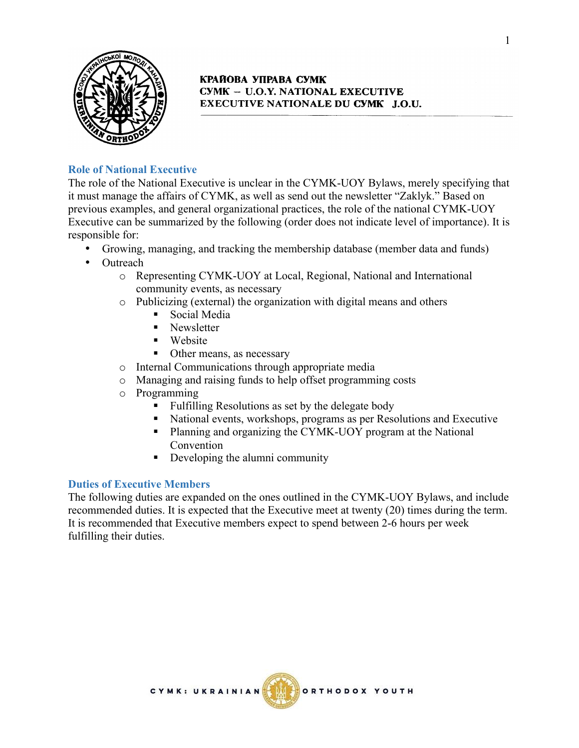

## **Role of National Executive**

The role of the National Executive is unclear in the CYMK-UOY Bylaws, merely specifying that it must manage the affairs of CYMK, as well as send out the newsletter "Zaklyk." Based on previous examples, and general organizational practices, the role of the national CYMK-UOY Executive can be summarized by the following (order does not indicate level of importance). It is responsible for:

- Growing, managing, and tracking the membership database (member data and funds)
- Outreach
	- o Representing CYMK-UOY at Local, Regional, National and International community events, as necessary
	- o Publicizing (external) the organization with digital means and others
		- Social Media
		- Newsletter
		- Website
		- Other means, as necessary
	- o Internal Communications through appropriate media
	- o Managing and raising funds to help offset programming costs
	- o Programming
		- Fulfilling Resolutions as set by the delegate body
		- § National events, workshops, programs as per Resolutions and Executive
		- Planning and organizing the CYMK-UOY program at the National Convention
		- Developing the alumni community

## **Duties of Executive Members**

The following duties are expanded on the ones outlined in the CYMK-UOY Bylaws, and include recommended duties. It is expected that the Executive meet at twenty (20) times during the term. It is recommended that Executive members expect to spend between 2-6 hours per week fulfilling their duties.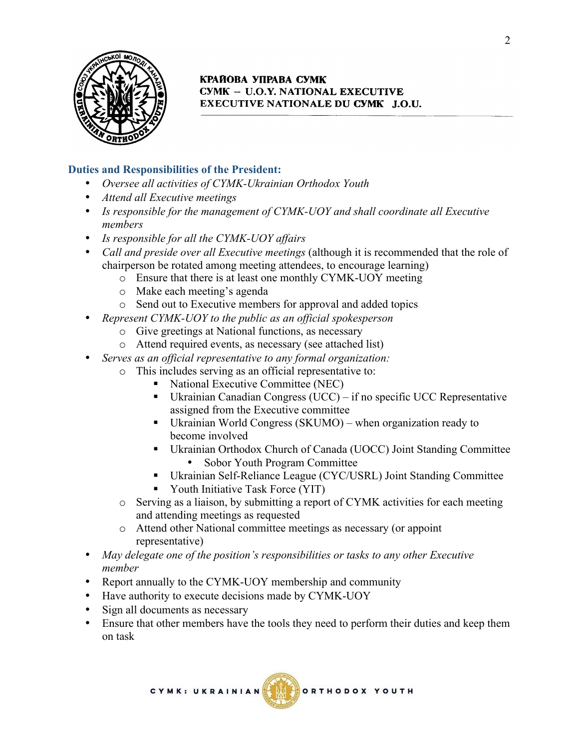

## **Duties and Responsibilities of the President:**

- *Oversee all activities of CYMK-Ukrainian Orthodox Youth*
- *Attend all Executive meetings*
- *Is responsible for the management of CYMK-UOY and shall coordinate all Executive members*
- *Is responsible for all the CYMK-UOY affairs*
- *Call and preside over all Executive meetings* (although it is recommended that the role of chairperson be rotated among meeting attendees, to encourage learning)
	- o Ensure that there is at least one monthly CYMK-UOY meeting
	- o Make each meeting's agenda
	- o Send out to Executive members for approval and added topics
- *Represent CYMK-UOY to the public as an official spokesperson*
	- o Give greetings at National functions, as necessary
	- o Attend required events, as necessary (see attached list)
- *Serves as an official representative to any formal organization:*
	- o This includes serving as an official representative to:
		- § National Executive Committee (NEC)
		- § Ukrainian Canadian Congress (UCC) if no specific UCC Representative assigned from the Executive committee
		- Ukrainian World Congress (SKUMO) when organization ready to become involved
		- § Ukrainian Orthodox Church of Canada (UOCC) Joint Standing Committee • Sobor Youth Program Committee
		- Ukrainian Self-Reliance League (CYC/USRL) Joint Standing Committee
		- § Youth Initiative Task Force (YIT)
	- o Serving as a liaison, by submitting a report of CYMK activities for each meeting and attending meetings as requested
	- o Attend other National committee meetings as necessary (or appoint representative)
- *May delegate one of the position's responsibilities or tasks to any other Executive member*
- Report annually to the CYMK-UOY membership and community
- Have authority to execute decisions made by CYMK-UOY
- Sign all documents as necessary
- Ensure that other members have the tools they need to perform their duties and keep them on task

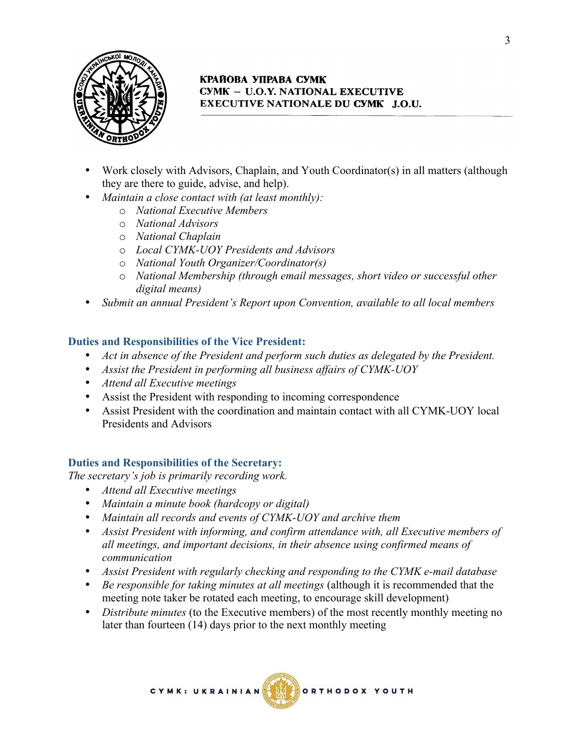

- Work closely with Advisors, Chaplain, and Youth Coordinator(s) in all matters (although they are there to guide, advise, and help).
- *Maintain a close contact with (at least monthly):*
	- o *National Executive Members*
	- o *National Advisors*
	- o *National Chaplain*
	- o *Local CYMK-UOY Presidents and Advisors*
	- o *National Youth Organizer/Coordinator(s)*
	- o *National Membership (through email messages, short video or successful other digital means)*
- *Submit an annual President's Report upon Convention, available to all local members*

#### **Duties and Responsibilities of the Vice President:**

- *Act in absence of the President and perform such duties as delegated by the President.*
- *Assist the President in performing all business affairs of CYMK-UOY*
- *Attend all Executive meetings*
- Assist the President with responding to incoming correspondence
- Assist President with the coordination and maintain contact with all CYMK-UOY local Presidents and Advisors

#### **Duties and Responsibilities of the Secretary:**

*The secretary's job is primarily recording work.*

- *Attend all Executive meetings*
- *Maintain a minute book (hardcopy or digital)*
- *Maintain all records and events of CYMK-UOY and archive them*
- *Assist President with informing, and confirm attendance with, all Executive members of all meetings, and important decisions, in their absence using confirmed means of communication*
- *Assist President with regularly checking and responding to the CYMK e-mail database*
- *Be responsible for taking minutes at all meetings* (although it is recommended that the meeting note taker be rotated each meeting, to encourage skill development)
- *Distribute minutes* (to the Executive members) of the most recently monthly meeting no later than fourteen (14) days prior to the next monthly meeting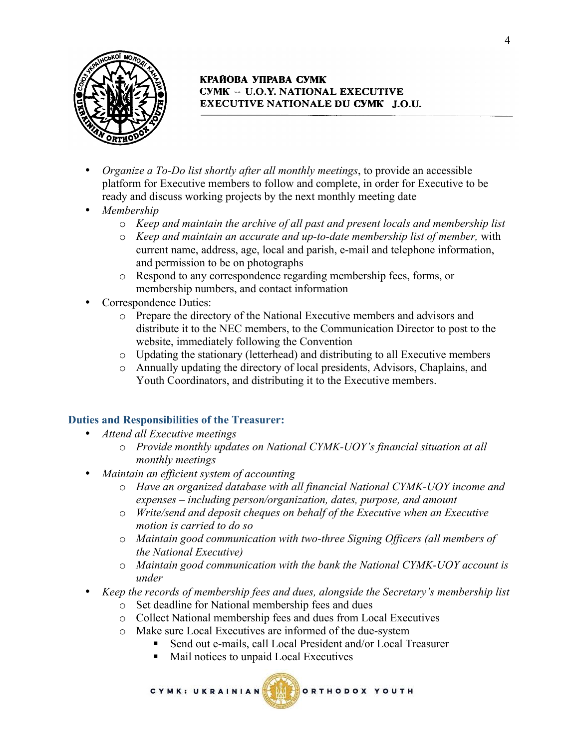

- *Organize a To-Do list shortly after all monthly meetings*, to provide an accessible platform for Executive members to follow and complete, in order for Executive to be ready and discuss working projects by the next monthly meeting date
- *Membership* 
	- o *Keep and maintain the archive of all past and present locals and membership list*
	- o *Keep and maintain an accurate and up-to-date membership list of member,* with current name, address, age, local and parish, e-mail and telephone information, and permission to be on photographs
	- o Respond to any correspondence regarding membership fees, forms, or membership numbers, and contact information
- Correspondence Duties:
	- o Prepare the directory of the National Executive members and advisors and distribute it to the NEC members, to the Communication Director to post to the website, immediately following the Convention
	- o Updating the stationary (letterhead) and distributing to all Executive members
	- o Annually updating the directory of local presidents, Advisors, Chaplains, and Youth Coordinators, and distributing it to the Executive members.

## **Duties and Responsibilities of the Treasurer:**

- *Attend all Executive meetings*
	- o *Provide monthly updates on National CYMK-UOY's financial situation at all monthly meetings*
- *Maintain an efficient system of accounting*
	- o *Have an organized database with all financial National CYMK-UOY income and expenses – including person/organization, dates, purpose, and amount*
	- o *Write/send and deposit cheques on behalf of the Executive when an Executive motion is carried to do so*
	- o *Maintain good communication with two-three Signing Officers (all members of the National Executive)*
	- o *Maintain good communication with the bank the National CYMK-UOY account is under*
- *Keep the records of membership fees and dues, alongside the Secretary's membership list*
	- o Set deadline for National membership fees and dues
	- o Collect National membership fees and dues from Local Executives
	- o Make sure Local Executives are informed of the due-system
		- § Send out e-mails, call Local President and/or Local Treasurer
		- § Mail notices to unpaid Local Executives



ORTHODOX YOUTH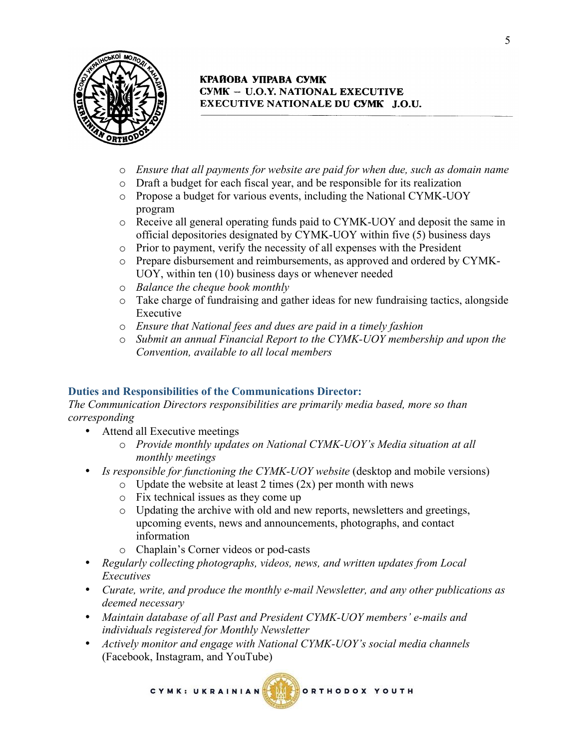

- o *Ensure that all payments for website are paid for when due, such as domain name*
- o Draft a budget for each fiscal year, and be responsible for its realization
- o Propose a budget for various events, including the National CYMK-UOY program
- o Receive all general operating funds paid to CYMK-UOY and deposit the same in official depositories designated by CYMK-UOY within five (5) business days
- o Prior to payment, verify the necessity of all expenses with the President
- o Prepare disbursement and reimbursements, as approved and ordered by CYMK-UOY, within ten (10) business days or whenever needed
- o *Balance the cheque book monthly*
- o Take charge of fundraising and gather ideas for new fundraising tactics, alongside Executive
- o *Ensure that National fees and dues are paid in a timely fashion*
- o *Submit an annual Financial Report to the CYMK-UOY membership and upon the Convention, available to all local members*

## **Duties and Responsibilities of the Communications Director:**

*The Communication Directors responsibilities are primarily media based, more so than corresponding*

- Attend all Executive meetings
	- o *Provide monthly updates on National CYMK-UOY's Media situation at all monthly meetings*
- *Is responsible for functioning the CYMK-UOY website* (desktop and mobile versions)
	- $\circ$  Update the website at least 2 times (2x) per month with news
	- o Fix technical issues as they come up
	- o Updating the archive with old and new reports, newsletters and greetings, upcoming events, news and announcements, photographs, and contact information
	- o Chaplain's Corner videos or pod-casts
- *Regularly collecting photographs, videos, news, and written updates from Local Executives*
- *Curate, write, and produce the monthly e-mail Newsletter, and any other publications as deemed necessary*
- *Maintain database of all Past and President CYMK-UOY members' e-mails and individuals registered for Monthly Newsletter*
- *Actively monitor and engage with National CYMK-UOY's social media channels* (Facebook, Instagram, and YouTube)

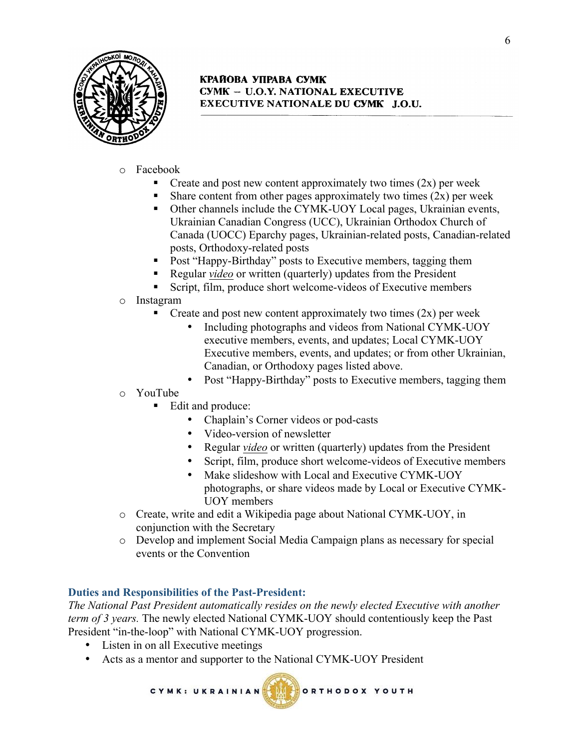

- o Facebook
	- Create and post new content approximately two times  $(2x)$  per week
	- Share content from other pages approximately two times  $(2x)$  per week
	- Other channels include the CYMK-UOY Local pages, Ukrainian events, Ukrainian Canadian Congress (UCC), Ukrainian Orthodox Church of Canada (UOCC) Eparchy pages, Ukrainian-related posts, Canadian-related posts, Orthodoxy-related posts
	- § Post "Happy-Birthday" posts to Executive members, tagging them
	- § Regular *video* or written (quarterly) updates from the President
	- § Script, film, produce short welcome-videos of Executive members
- o Instagram
	- Create and post new content approximately two times  $(2x)$  per week
		- Including photographs and videos from National CYMK-UOY executive members, events, and updates; Local CYMK-UOY Executive members, events, and updates; or from other Ukrainian, Canadian, or Orthodoxy pages listed above.
		- Post "Happy-Birthday" posts to Executive members, tagging them
- o YouTube
	- Edit and produce:
		- Chaplain's Corner videos or pod-casts
		- Video-version of newsletter
		- Regular *video* or written (quarterly) updates from the President
		- Script, film, produce short welcome-videos of Executive members
		- Make slideshow with Local and Executive CYMK-UOY photographs, or share videos made by Local or Executive CYMK-UOY members
- o Create, write and edit a Wikipedia page about National CYMK-UOY, in conjunction with the Secretary
- o Develop and implement Social Media Campaign plans as necessary for special events or the Convention

## **Duties and Responsibilities of the Past-President:**

CYMK: UKRAINIAN

*The National Past President automatically resides on the newly elected Executive with another term of 3 years.* The newly elected National CYMK-UOY should contentiously keep the Past President "in-the-loop" with National CYMK-UOY progression.

- Listen in on all Executive meetings
- Acts as a mentor and supporter to the National CYMK-UOY President

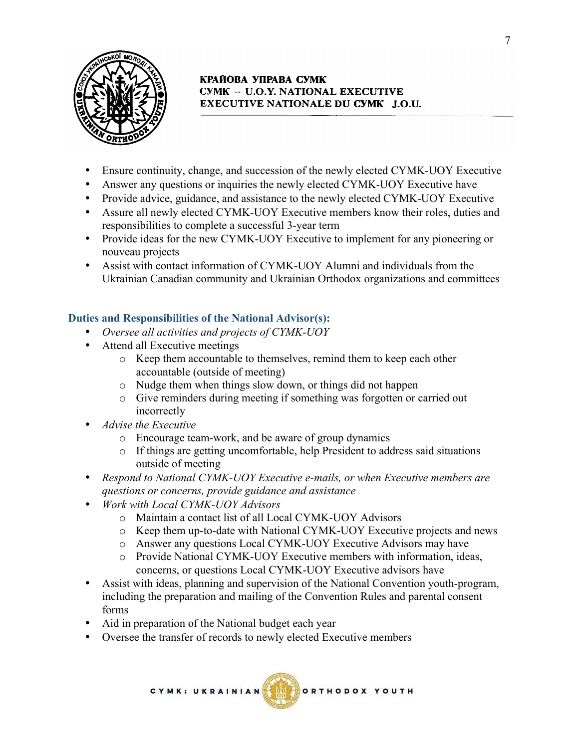

- Ensure continuity, change, and succession of the newly elected CYMK-UOY Executive
- Answer any questions or inquiries the newly elected CYMK-UOY Executive have
- Provide advice, guidance, and assistance to the newly elected CYMK-UOY Executive
- Assure all newly elected CYMK-UOY Executive members know their roles, duties and responsibilities to complete a successful 3-year term
- Provide ideas for the new CYMK-UOY Executive to implement for any pioneering or nouveau projects
- Assist with contact information of CYMK-UOY Alumni and individuals from the Ukrainian Canadian community and Ukrainian Orthodox organizations and committees

# **Duties and Responsibilities of the National Advisor(s):**

- *Oversee all activities and projects of CYMK-UOY*
- Attend all Executive meetings
	- o Keep them accountable to themselves, remind them to keep each other accountable (outside of meeting)
	- o Nudge them when things slow down, or things did not happen
	- o Give reminders during meeting if something was forgotten or carried out incorrectly
- *Advise the Executive*
	- o Encourage team-work, and be aware of group dynamics
	- o If things are getting uncomfortable, help President to address said situations outside of meeting
- *Respond to National CYMK-UOY Executive e-mails, or when Executive members are questions or concerns, provide guidance and assistance*
- *Work with Local CYMK-UOY Advisors*
	- o Maintain a contact list of all Local CYMK-UOY Advisors
	- o Keep them up-to-date with National CYMK-UOY Executive projects and news
	- o Answer any questions Local CYMK-UOY Executive Advisors may have
	- o Provide National CYMK-UOY Executive members with information, ideas, concerns, or questions Local CYMK-UOY Executive advisors have
- Assist with ideas, planning and supervision of the National Convention youth-program, including the preparation and mailing of the Convention Rules and parental consent forms
- Aid in preparation of the National budget each year
- Oversee the transfer of records to newly elected Executive members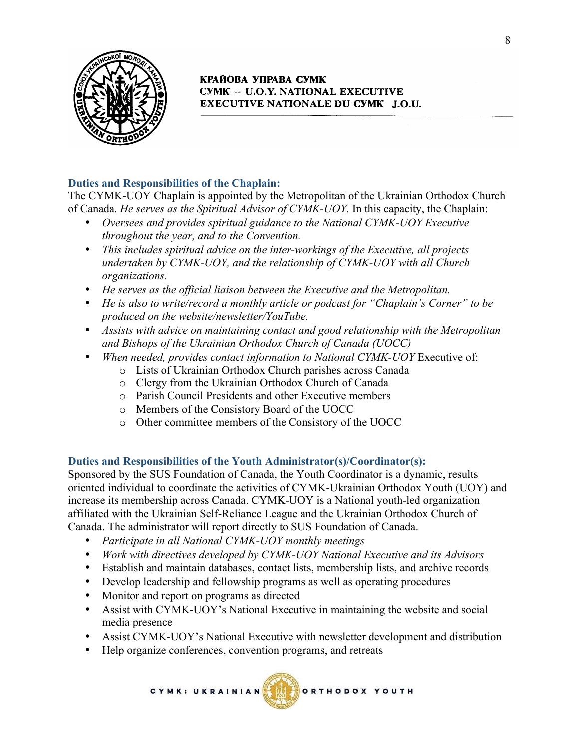

# **Duties and Responsibilities of the Chaplain:**

The CYMK-UOY Chaplain is appointed by the Metropolitan of the Ukrainian Orthodox Church of Canada. *He serves as the Spiritual Advisor of CYMK-UOY.* In this capacity, the Chaplain:

- *Oversees and provides spiritual guidance to the National CYMK-UOY Executive throughout the year, and to the Convention.*
- *This includes spiritual advice on the inter-workings of the Executive, all projects undertaken by CYMK-UOY, and the relationship of CYMK-UOY with all Church organizations.*
- *He serves as the official liaison between the Executive and the Metropolitan.*
- *He is also to write/record a monthly article or podcast for "Chaplain's Corner" to be produced on the website/newsletter/YouTube.*
- *Assists with advice on maintaining contact and good relationship with the Metropolitan and Bishops of the Ukrainian Orthodox Church of Canada (UOCC)*
- *When needed, provides contact information to National CYMK-UOY* Executive of:
	- o Lists of Ukrainian Orthodox Church parishes across Canada
	- o Clergy from the Ukrainian Orthodox Church of Canada
	- o Parish Council Presidents and other Executive members
	- o Members of the Consistory Board of the UOCC
	- o Other committee members of the Consistory of the UOCC

## **Duties and Responsibilities of the Youth Administrator(s)/Coordinator(s):**

Sponsored by the SUS Foundation of Canada, the Youth Coordinator is a dynamic, results oriented individual to coordinate the activities of CYMK-Ukrainian Orthodox Youth (UOY) and increase its membership across Canada. CYMK-UOY is a National youth-led organization affiliated with the Ukrainian Self-Reliance League and the Ukrainian Orthodox Church of Canada. The administrator will report directly to SUS Foundation of Canada.

- *Participate in all National CYMK-UOY monthly meetings*
- *Work with directives developed by CYMK-UOY National Executive and its Advisors*
- Establish and maintain databases, contact lists, membership lists, and archive records
- Develop leadership and fellowship programs as well as operating procedures
- Monitor and report on programs as directed
- Assist with CYMK-UOY's National Executive in maintaining the website and social media presence
- Assist CYMK-UOY's National Executive with newsletter development and distribution
- Help organize conferences, convention programs, and retreats